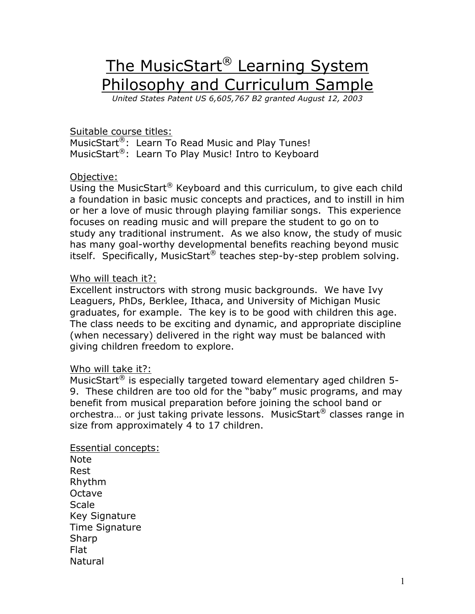## The MusicStart<sup>®</sup> Learning System Philosophy and Curriculum Sample

*United States Patent US 6,605,767 B2 granted August 12, 2003*

## Suitable course titles:

MusicStart<sup>®</sup>: Learn To Read Music and Play Tunes! MusicStart<sup>®</sup>: Learn To Play Music! Intro to Keyboard

## Objective:

Using the MusicStart® Keyboard and this curriculum, to give each child a foundation in basic music concepts and practices, and to instill in him or her a love of music through playing familiar songs. This experience focuses on reading music and will prepare the student to go on to study any traditional instrument. As we also know, the study of music has many goal-worthy developmental benefits reaching beyond music itself. Specifically, MusicStart® teaches step-by-step problem solving.

## Who will teach it?:

Excellent instructors with strong music backgrounds. We have Ivy Leaguers, PhDs, Berklee, Ithaca, and University of Michigan Music graduates, for example. The key is to be good with children this age. The class needs to be exciting and dynamic, and appropriate discipline (when necessary) delivered in the right way must be balanced with giving children freedom to explore.

#### Who will take it?:

MusicStart® is especially targeted toward elementary aged children 5- 9. These children are too old for the "baby" music programs, and may benefit from musical preparation before joining the school band or orchestra… or just taking private lessons. MusicStart® classes range in size from approximately 4 to 17 children.

Essential concepts: Note Rest Rhythm Octave **Scale** Key Signature Time Signature Sharp Flat Natural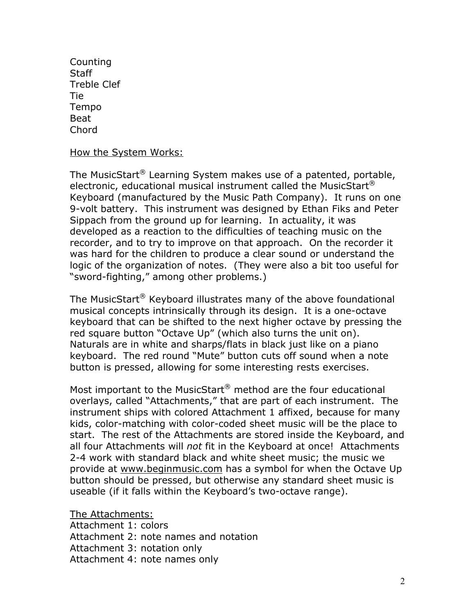Counting **Staff** Treble Clef Tie Tempo Beat Chord

How the System Works:

The MusicStart® Learning System makes use of a patented, portable, electronic, educational musical instrument called the MusicStart $^{\circledR}$ Keyboard (manufactured by the Music Path Company). It runs on one 9-volt battery. This instrument was designed by Ethan Fiks and Peter Sippach from the ground up for learning. In actuality, it was developed as a reaction to the difficulties of teaching music on the recorder, and to try to improve on that approach. On the recorder it was hard for the children to produce a clear sound or understand the logic of the organization of notes. (They were also a bit too useful for "sword-fighting," among other problems.)

The MusicStart<sup>®</sup> Keyboard illustrates many of the above foundational musical concepts intrinsically through its design. It is a one-octave keyboard that can be shifted to the next higher octave by pressing the red square button "Octave Up" (which also turns the unit on). Naturals are in white and sharps/flats in black just like on a piano keyboard. The red round "Mute" button cuts off sound when a note button is pressed, allowing for some interesting rests exercises.

Most important to the MusicStart® method are the four educational overlays, called "Attachments," that are part of each instrument. The instrument ships with colored Attachment 1 affixed, because for many kids, color-matching with color-coded sheet music will be the place to start. The rest of the Attachments are stored inside the Keyboard, and all four Attachments will *not* fit in the Keyboard at once! Attachments 2-4 work with standard black and white sheet music; the music we provide at www.beginmusic.com has a symbol for when the Octave Up button should be pressed, but otherwise any standard sheet music is useable (if it falls within the Keyboard's two-octave range).

The Attachments: Attachment 1: colors Attachment 2: note names and notation Attachment 3: notation only Attachment 4: note names only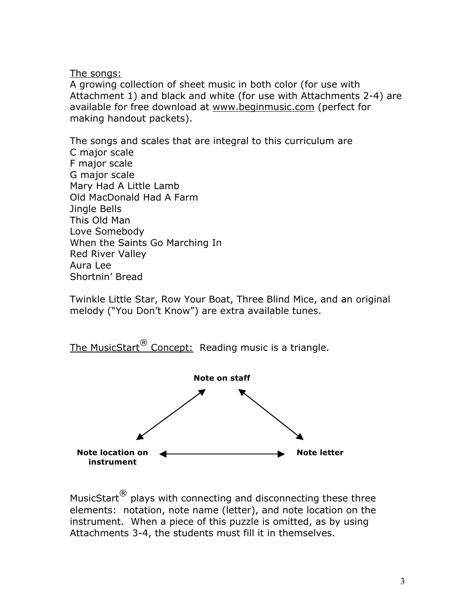The songs:

A growing collection of sheet music in both color (for use with Attachment 1) and black and white (for use with Attachments 2-4) are available for free download at www.beginmusic.com (perfect for making handout packets).

The songs and scales that are integral to this curriculum are C major scale F major scale G major scale Mary Had A Little Lamb Old MacDonald Had A Farm Jingle Bells This Old Man Love Somebody When the Saints Go Marching In Red River Valley Aura Lee Shortnin' Bread

Twinkle Little Star, Row Your Boat, Three Blind Mice, and an original melody ("You Don't Know") are extra available tunes.





MusicStart<sup>®</sup> plays with connecting and disconnecting these three elements: notation, note name (letter), and note location on the instrument. When a piece of this puzzle is omitted, as by using Attachments 3-4, the students must fill it in themselves.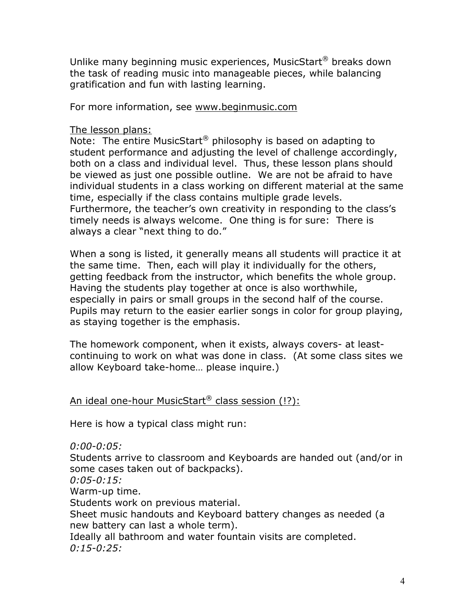Unlike many beginning music experiences, MusicStart® breaks down the task of reading music into manageable pieces, while balancing gratification and fun with lasting learning.

For more information, see www.beginmusic.com

## The lesson plans:

Note: The entire MusicStart® philosophy is based on adapting to student performance and adjusting the level of challenge accordingly, both on a class and individual level. Thus, these lesson plans should be viewed as just one possible outline. We are not be afraid to have individual students in a class working on different material at the same time, especially if the class contains multiple grade levels. Furthermore, the teacher's own creativity in responding to the class's timely needs is always welcome. One thing is for sure: There is always a clear "next thing to do."

When a song is listed, it generally means all students will practice it at the same time. Then, each will play it individually for the others, getting feedback from the instructor, which benefits the whole group. Having the students play together at once is also worthwhile, especially in pairs or small groups in the second half of the course. Pupils may return to the easier earlier songs in color for group playing, as staying together is the emphasis.

The homework component, when it exists, always covers- at leastcontinuing to work on what was done in class. (At some class sites we allow Keyboard take-home… please inquire.)

## An ideal one-hour MusicStart® class session (!?):

Here is how a typical class might run:

*0:00-0:05:*

Students arrive to classroom and Keyboards are handed out (and/or in some cases taken out of backpacks).

*0:05-0:15:*

Warm-up time.

Students work on previous material.

Sheet music handouts and Keyboard battery changes as needed (a new battery can last a whole term).

Ideally all bathroom and water fountain visits are completed. *0:15-0:25:*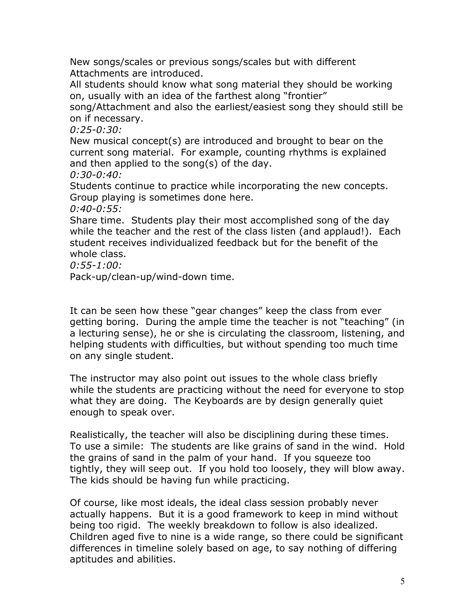New songs/scales or previous songs/scales but with different Attachments are introduced.

All students should know what song material they should be working on, usually with an idea of the farthest along "frontier"

song/Attachment and also the earliest/easiest song they should still be on if necessary.

*0:25-0:30:*

New musical concept(s) are introduced and brought to bear on the current song material. For example, counting rhythms is explained and then applied to the song(s) of the day.

*0:30-0:40:*

Students continue to practice while incorporating the new concepts. Group playing is sometimes done here.

*0:40-0:55:*

Share time. Students play their most accomplished song of the day while the teacher and the rest of the class listen (and applaud!). Each student receives individualized feedback but for the benefit of the whole class.

*0:55-1:00:*

Pack-up/clean-up/wind-down time.

It can be seen how these "gear changes" keep the class from ever getting boring. During the ample time the teacher is not "teaching" (in a lecturing sense), he or she is circulating the classroom, listening, and helping students with difficulties, but without spending too much time on any single student.

The instructor may also point out issues to the whole class briefly while the students are practicing without the need for everyone to stop what they are doing. The Keyboards are by design generally quiet enough to speak over.

Realistically, the teacher will also be disciplining during these times. To use a simile: The students are like grains of sand in the wind. Hold the grains of sand in the palm of your hand. If you squeeze too tightly, they will seep out. If you hold too loosely, they will blow away. The kids should be having fun while practicing.

Of course, like most ideals, the ideal class session probably never actually happens. But it is a good framework to keep in mind without being too rigid. The weekly breakdown to follow is also idealized. Children aged five to nine is a wide range, so there could be significant differences in timeline solely based on age, to say nothing of differing aptitudes and abilities.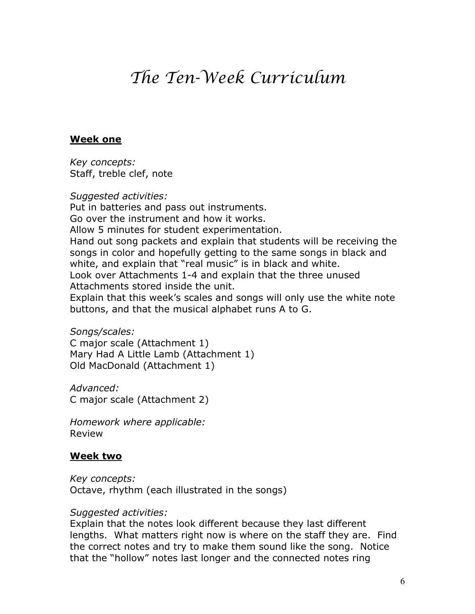# *The Ten-Week Curriculum*

#### **Week one**

*Key concepts:* Staff, treble clef, note

*Suggested activities:*

Put in batteries and pass out instruments. Go over the instrument and how it works. Allow 5 minutes for student experimentation. Hand out song packets and explain that students will be receiving the songs in color and hopefully getting to the same songs in black and white, and explain that "real music" is in black and white. Look over Attachments 1-4 and explain that the three unused Attachments stored inside the unit. Explain that this week's scales and songs will only use the white note buttons, and that the musical alphabet runs A to G.

*Songs/scales:*

C major scale (Attachment 1) Mary Had A Little Lamb (Attachment 1) Old MacDonald (Attachment 1)

*Advanced:* C major scale (Attachment 2)

*Homework where applicable:* Review

## **Week two**

*Key concepts:* Octave, rhythm (each illustrated in the songs)

#### *Suggested activities:*

Explain that the notes look different because they last different lengths. What matters right now is where on the staff they are. Find the correct notes and try to make them sound like the song. Notice that the "hollow" notes last longer and the connected notes ring